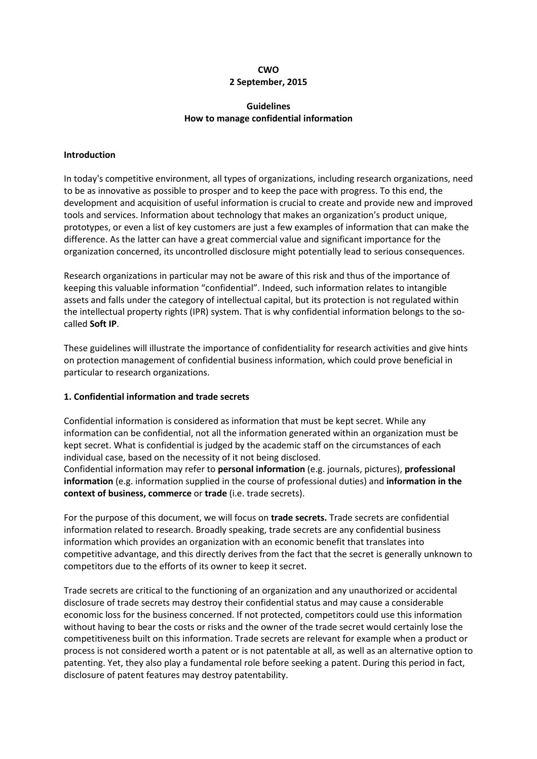## **CWO 2 September, 2015**

# **Guidelines How to manage confidential information**

## **Introduction**

In today's competitive environment, all types of organizations, including research organizations, need to be as innovative as possible to prosper and to keep the pace with progress. To this end, the development and acquisition of useful information is crucial to create and provide new and improved tools and services. Information about technology that makes an organization's product unique, prototypes, or even a list of key customers are just a few examples of information that can make the difference. As the latter can have a great commercial value and significant importance for the organization concerned, its uncontrolled disclosure might potentially lead to serious consequences.

Research organizations in particular may not be aware of this risk and thus of the importance of keeping this valuable information "confidential". Indeed, such information relates to intangible assets and falls under the category of intellectual capital, but its protection is not regulated within the intellectual property rights (IPR) system. That is why confidential information belongs to the socalled **Soft IP**.

These guidelines will illustrate the importance of confidentiality for research activities and give hints on protection management of confidential business information, which could prove beneficial in particular to research organizations.

# **1. Confidential information and trade secrets**

Confidential information is considered as information that must be kept secret. While any information can be confidential, not all the information generated within an organization must be kept secret. What is confidential is judged by the academic staff on the circumstances of each individual case, based on the necessity of it not being disclosed.

Confidential information may refer to **personal information** (e.g. journals, pictures), **professional information** (e.g. information supplied in the course of professional duties) and **information in the context of business, commerce** or **trade** (i.e. trade secrets).

For the purpose of this document, we will focus on **trade secrets.** Trade secrets are confidential information related to research. Broadly speaking, trade secrets are any confidential business information which provides an organization with an economic benefit that translates into competitive advantage, and this directly derives from the fact that the secret is generally unknown to competitors due to the efforts of its owner to keep it secret.

Trade secrets are critical to the functioning of an organization and any unauthorized or accidental disclosure of trade secrets may destroy their confidential status and may cause a considerable economic loss for the business concerned. If not protected, competitors could use this information without having to bear the costs or risks and the owner of the trade secret would certainly lose the competitiveness built on this information. Trade secrets are relevant for example when a product or process is not considered worth a patent or is not patentable at all, as well as an alternative option to patenting. Yet, they also play a fundamental role before seeking a patent. During this period in fact, disclosure of patent features may destroy patentability.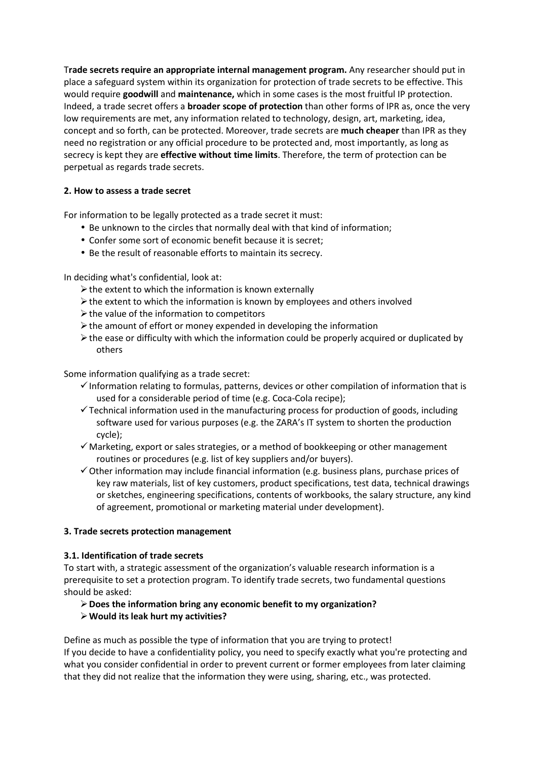T**rade secrets require an appropriate internal management program.** Any researcher should put in place a safeguard system within its organization for protection of trade secrets to be effective. This would require **goodwill** and **maintenance,** which in some cases is the most fruitful IP protection. Indeed, a trade secret offers a **broader scope of protection** than other forms of IPR as, once the very low requirements are met, any information related to technology, design, art, marketing, idea, concept and so forth, can be protected. Moreover, trade secrets are **much cheaper** than IPR as they need no registration or any official procedure to be protected and, most importantly, as long as secrecy is kept they are **effective without time limits**. Therefore, the term of protection can be perpetual as regards trade secrets.

## **2. How to assess a trade secret**

For information to be legally protected as a trade secret it must:

- Be unknown to the circles that normally deal with that kind of information;
- Confer some sort of economic benefit because it is secret;
- Be the result of reasonable efforts to maintain its secrecy.

In deciding what's confidential, look at:

- $\triangleright$  the extent to which the information is known externally
- $\triangleright$  the extent to which the information is known by employees and others involved
- $\triangleright$  the value of the information to competitors
- $\triangleright$  the amount of effort or money expended in developing the information
- $\triangleright$  the ease or difficulty with which the information could be properly acquired or duplicated by others

Some information qualifying as a trade secret:

- -Information relating to formulas, patterns, devices or other compilation of information that is used for a considerable period of time (e.g. Coca-Cola recipe);
- -Technical information used in the manufacturing process for production of goods, including software used for various purposes (e.g. the ZARA's IT system to shorten the production cycle);
- -Marketing, export or sales strategies, or a method of bookkeeping or other management routines or procedures (e.g. list of key suppliers and/or buyers).
- -Other information may include financial information (e.g. business plans, purchase prices of key raw materials, list of key customers, product specifications, test data, technical drawings or sketches, engineering specifications, contents of workbooks, the salary structure, any kind of agreement, promotional or marketing material under development).

### **3. Trade secrets protection management**

### **3.1. Identification of trade secrets**

To start with, a strategic assessment of the organization's valuable research information is a prerequisite to set a protection program. To identify trade secrets, two fundamental questions should be asked:

# **Does the information bring any economic benefit to my organization?**

# **Would its leak hurt my activities?**

Define as much as possible the type of information that you are trying to protect! If you decide to have a confidentiality policy, you need to specify exactly what you're protecting and what you consider confidential in order to prevent current or former employees from later claiming that they did not realize that the information they were using, sharing, etc., was protected.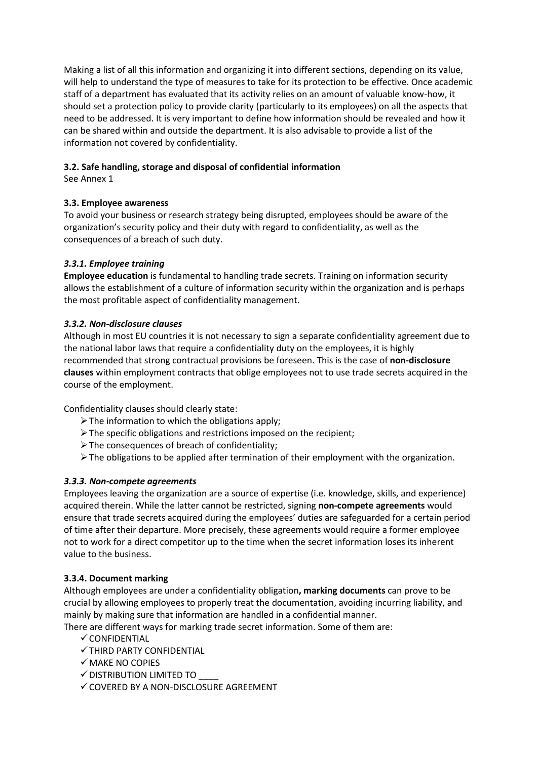Making a list of all this information and organizing it into different sections, depending on its value, will help to understand the type of measures to take for its protection to be effective. Once academic staff of a department has evaluated that its activity relies on an amount of valuable know-how, it should set a protection policy to provide clarity (particularly to its employees) on all the aspects that need to be addressed. It is very important to define how information should be revealed and how it can be shared within and outside the department. It is also advisable to provide a list of the information not covered by confidentiality.

# **3.2. Safe handling, storage and disposal of confidential information**

See Annex 1

# **3.3. Employee awareness**

To avoid your business or research strategy being disrupted, employees should be aware of the organization's security policy and their duty with regard to confidentiality, as well as the consequences of a breach of such duty.

# *3.3.1. Employee training*

**Employee education** is fundamental to handling trade secrets. Training on information security allows the establishment of a culture of information security within the organization and is perhaps the most profitable aspect of confidentiality management.

# *3.3.2. Non-disclosure clauses*

Although in most EU countries it is not necessary to sign a separate confidentiality agreement due to the national labor laws that require a confidentiality duty on the employees, it is highly recommended that strong contractual provisions be foreseen. This is the case of **non-disclosure clauses** within employment contracts that oblige employees not to use trade secrets acquired in the course of the employment.

Confidentiality clauses should clearly state:

- $\triangleright$  The information to which the obligations apply;
- $\triangleright$  The specific obligations and restrictions imposed on the recipient;
- $\triangleright$  The consequences of breach of confidentiality;
- $\triangleright$  The obligations to be applied after termination of their employment with the organization.

# *3.3.3. Non-compete agreements*

Employees leaving the organization are a source of expertise (i.e. knowledge, skills, and experience) acquired therein. While the latter cannot be restricted, signing **non-compete agreements** would ensure that trade secrets acquired during the employees' duties are safeguarded for a certain period of time after their departure. More precisely, these agreements would require a former employee not to work for a direct competitor up to the time when the secret information loses its inherent value to the business.

# **3.3.4. Document marking**

Although employees are under a confidentiality obligation**, marking documents** can prove to be crucial by allowing employees to properly treat the documentation, avoiding incurring liability, and mainly by making sure that information are handled in a confidential manner.

There are different ways for marking trade secret information. Some of them are:

- $\checkmark$  CONFIDENTIAL
- -THIRD PARTY CONFIDENTIAL
- -MAKE NO COPIES
- $\checkmark$  distribution limited to \_\_\_\_
- -COVERED BY A NON-DISCLOSURE AGREEMENT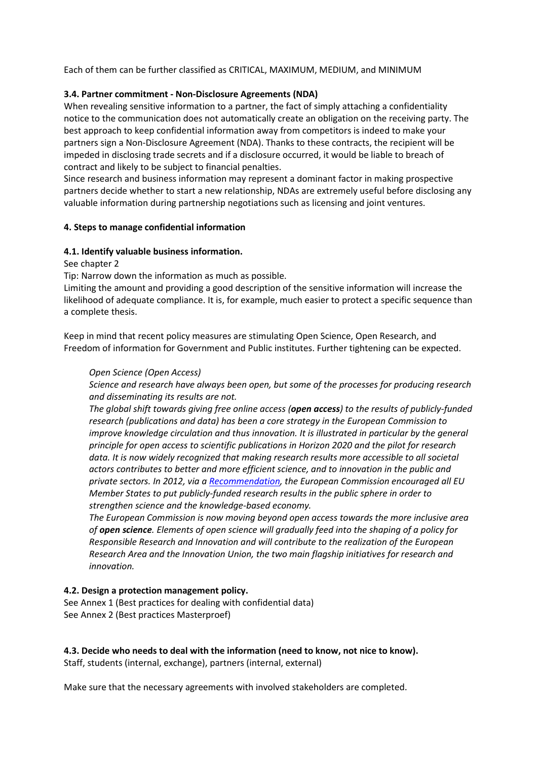Each of them can be further classified as CRITICAL, MAXIMUM, MEDIUM, and MINIMUM

## **3.4. Partner commitment - Non-Disclosure Agreements (NDA)**

When revealing sensitive information to a partner, the fact of simply attaching a confidentiality notice to the communication does not automatically create an obligation on the receiving party. The best approach to keep confidential information away from competitors is indeed to make your partners sign a Non-Disclosure Agreement (NDA). Thanks to these contracts, the recipient will be impeded in disclosing trade secrets and if a disclosure occurred, it would be liable to breach of contract and likely to be subject to financial penalties.

Since research and business information may represent a dominant factor in making prospective partners decide whether to start a new relationship, NDAs are extremely useful before disclosing any valuable information during partnership negotiations such as licensing and joint ventures.

## **4. Steps to manage confidential information**

## **4.1. Identify valuable business information.**

### See chapter 2

Tip: Narrow down the information as much as possible.

Limiting the amount and providing a good description of the sensitive information will increase the likelihood of adequate compliance. It is, for example, much easier to protect a specific sequence than a complete thesis.

Keep in mind that recent policy measures are stimulating Open Science, Open Research, and Freedom of information for Government and Public institutes. Further tightening can be expected.

### *Open Science (Open Access)*

*Science and research have always been open, but some of the processes for producing research and disseminating its results are not.* 

*The global shift towards giving free online access (open access) to the results of publicly-funded research (publications and data) has been a core strategy in the European Commission to improve knowledge circulation and thus innovation. It is illustrated in particular by the general principle for open access to scientific publications in Horizon 2020 and the pilot for research data. It is now widely recognized that making research results more accessible to all societal actors contributes to better and more efficient science, and to innovation in the public and private sectors. In 2012, via a Recommendation, the European Commission encouraged all EU Member States to put publicly-funded research results in the public sphere in order to strengthen science and the knowledge-based economy.*

*The European Commission is now moving beyond open access towards the more inclusive area of open science. Elements of open science will gradually feed into the shaping of a policy for Responsible Research and Innovation and will contribute to the realization of the European Research Area and the Innovation Union, the two main flagship initiatives for research and innovation.* 

### **4.2. Design a protection management policy.**

See Annex 1 (Best practices for dealing with confidential data) See Annex 2 (Best practices Masterproef)

**4.3. Decide who needs to deal with the information (need to know, not nice to know).** 

Staff, students (internal, exchange), partners (internal, external)

Make sure that the necessary agreements with involved stakeholders are completed.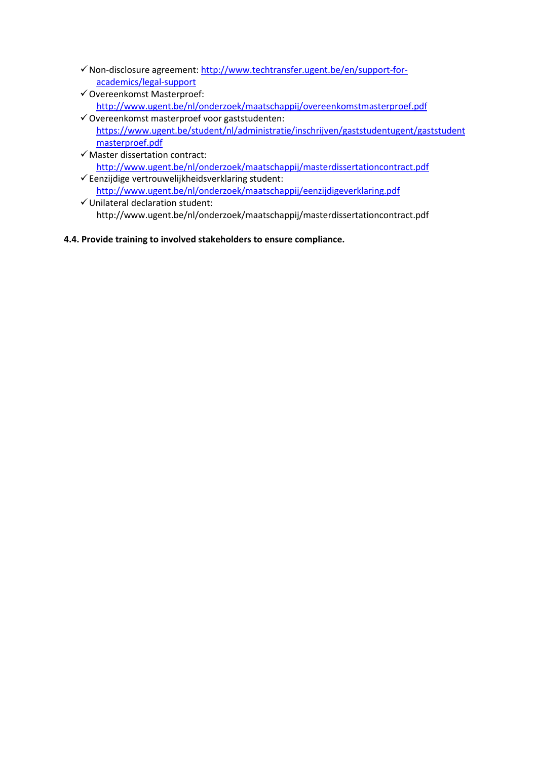- -Non-disclosure agreement: http://www.techtransfer.ugent.be/en/support-foracademics/legal-support
- -Overeenkomst Masterproef: http://www.ugent.be/nl/onderzoek/maatschappij/overeenkomstmasterproef.pdf
- -Overeenkomst masterproef voor gaststudenten: https://www.ugent.be/student/nl/administratie/inschrijven/gaststudentugent/gaststudent masterproef.pdf
- -Master dissertation contract: http://www.ugent.be/nl/onderzoek/maatschappij/masterdissertationcontract.pdf
- -Eenzijdige vertrouwelijkheidsverklaring student: http://www.ugent.be/nl/onderzoek/maatschappij/eenzijdigeverklaring.pdf
- -Unilateral declaration student: http://www.ugent.be/nl/onderzoek/maatschappij/masterdissertationcontract.pdf
- **4.4. Provide training to involved stakeholders to ensure compliance.**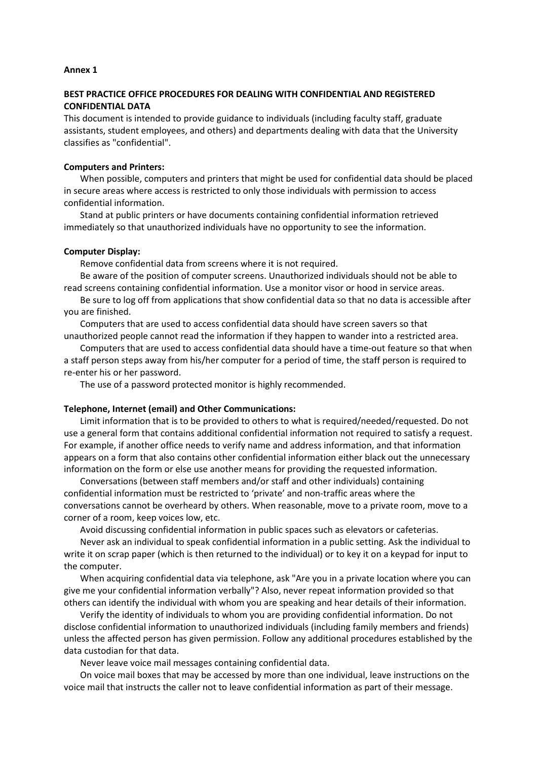#### **Annex 1**

### **BEST PRACTICE OFFICE PROCEDURES FOR DEALING WITH CONFIDENTIAL AND REGISTERED CONFIDENTIAL DATA**

This document is intended to provide guidance to individuals (including faculty staff, graduate assistants, student employees, and others) and departments dealing with data that the University classifies as "confidential".

#### **Computers and Printers:**

When possible, computers and printers that might be used for confidential data should be placed in secure areas where access is restricted to only those individuals with permission to access confidential information.

Stand at public printers or have documents containing confidential information retrieved immediately so that unauthorized individuals have no opportunity to see the information.

#### **Computer Display:**

Remove confidential data from screens where it is not required.

Be aware of the position of computer screens. Unauthorized individuals should not be able to read screens containing confidential information. Use a monitor visor or hood in service areas.

Be sure to log off from applications that show confidential data so that no data is accessible after you are finished.

Computers that are used to access confidential data should have screen savers so that unauthorized people cannot read the information if they happen to wander into a restricted area.

Computers that are used to access confidential data should have a time-out feature so that when a staff person steps away from his/her computer for a period of time, the staff person is required to re-enter his or her password.

The use of a password protected monitor is highly recommended.

#### **Telephone, Internet (email) and Other Communications:**

Limit information that is to be provided to others to what is required/needed/requested. Do not use a general form that contains additional confidential information not required to satisfy a request. For example, if another office needs to verify name and address information, and that information appears on a form that also contains other confidential information either black out the unnecessary information on the form or else use another means for providing the requested information.

Conversations (between staff members and/or staff and other individuals) containing confidential information must be restricted to 'private' and non-traffic areas where the conversations cannot be overheard by others. When reasonable, move to a private room, move to a corner of a room, keep voices low, etc.

Avoid discussing confidential information in public spaces such as elevators or cafeterias.

Never ask an individual to speak confidential information in a public setting. Ask the individual to write it on scrap paper (which is then returned to the individual) or to key it on a keypad for input to the computer.

When acquiring confidential data via telephone, ask "Are you in a private location where you can give me your confidential information verbally"? Also, never repeat information provided so that others can identify the individual with whom you are speaking and hear details of their information.

Verify the identity of individuals to whom you are providing confidential information. Do not disclose confidential information to unauthorized individuals (including family members and friends) unless the affected person has given permission. Follow any additional procedures established by the data custodian for that data.

Never leave voice mail messages containing confidential data.

On voice mail boxes that may be accessed by more than one individual, leave instructions on the voice mail that instructs the caller not to leave confidential information as part of their message.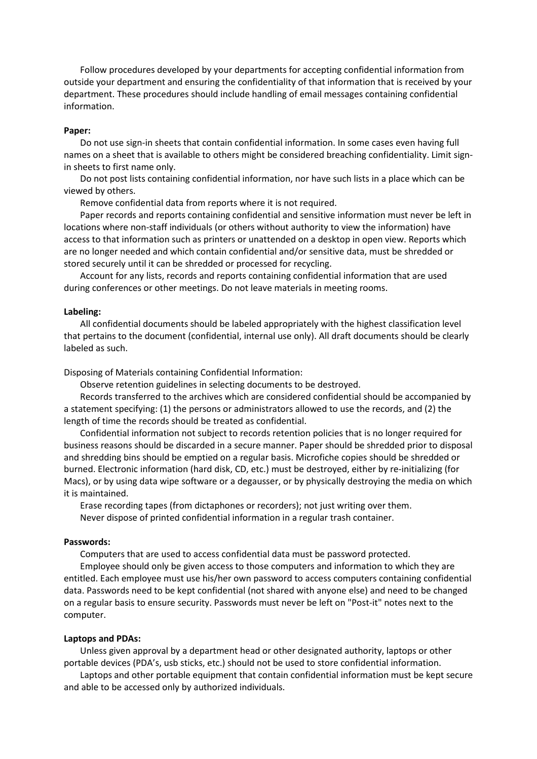Follow procedures developed by your departments for accepting confidential information from outside your department and ensuring the confidentiality of that information that is received by your department. These procedures should include handling of email messages containing confidential information.

#### **Paper:**

Do not use sign-in sheets that contain confidential information. In some cases even having full names on a sheet that is available to others might be considered breaching confidentiality. Limit signin sheets to first name only.

Do not post lists containing confidential information, nor have such lists in a place which can be viewed by others.

Remove confidential data from reports where it is not required.

Paper records and reports containing confidential and sensitive information must never be left in locations where non-staff individuals (or others without authority to view the information) have access to that information such as printers or unattended on a desktop in open view. Reports which are no longer needed and which contain confidential and/or sensitive data, must be shredded or stored securely until it can be shredded or processed for recycling.

Account for any lists, records and reports containing confidential information that are used during conferences or other meetings. Do not leave materials in meeting rooms.

#### **Labeling:**

All confidential documents should be labeled appropriately with the highest classification level that pertains to the document (confidential, internal use only). All draft documents should be clearly labeled as such.

Disposing of Materials containing Confidential Information:

Observe retention guidelines in selecting documents to be destroyed.

Records transferred to the archives which are considered confidential should be accompanied by a statement specifying: (1) the persons or administrators allowed to use the records, and (2) the length of time the records should be treated as confidential.

Confidential information not subject to records retention policies that is no longer required for business reasons should be discarded in a secure manner. Paper should be shredded prior to disposal and shredding bins should be emptied on a regular basis. Microfiche copies should be shredded or burned. Electronic information (hard disk, CD, etc.) must be destroyed, either by re-initializing (for Macs), or by using data wipe software or a degausser, or by physically destroying the media on which it is maintained.

Erase recording tapes (from dictaphones or recorders); not just writing over them. Never dispose of printed confidential information in a regular trash container.

#### **Passwords:**

Computers that are used to access confidential data must be password protected.

Employee should only be given access to those computers and information to which they are entitled. Each employee must use his/her own password to access computers containing confidential data. Passwords need to be kept confidential (not shared with anyone else) and need to be changed on a regular basis to ensure security. Passwords must never be left on "Post-it" notes next to the computer.

#### **Laptops and PDAs:**

Unless given approval by a department head or other designated authority, laptops or other portable devices (PDA's, usb sticks, etc.) should not be used to store confidential information.

Laptops and other portable equipment that contain confidential information must be kept secure and able to be accessed only by authorized individuals.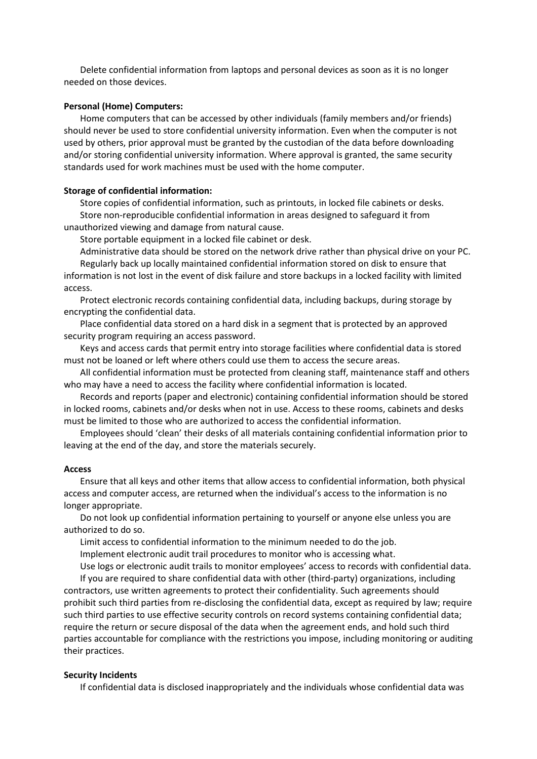Delete confidential information from laptops and personal devices as soon as it is no longer needed on those devices.

#### **Personal (Home) Computers:**

Home computers that can be accessed by other individuals (family members and/or friends) should never be used to store confidential university information. Even when the computer is not used by others, prior approval must be granted by the custodian of the data before downloading and/or storing confidential university information. Where approval is granted, the same security standards used for work machines must be used with the home computer.

#### **Storage of confidential information:**

Store copies of confidential information, such as printouts, in locked file cabinets or desks. Store non-reproducible confidential information in areas designed to safeguard it from unauthorized viewing and damage from natural cause.

Store portable equipment in a locked file cabinet or desk.

Administrative data should be stored on the network drive rather than physical drive on your PC. Regularly back up locally maintained confidential information stored on disk to ensure that information is not lost in the event of disk failure and store backups in a locked facility with limited access.

Protect electronic records containing confidential data, including backups, during storage by encrypting the confidential data.

Place confidential data stored on a hard disk in a segment that is protected by an approved security program requiring an access password.

Keys and access cards that permit entry into storage facilities where confidential data is stored must not be loaned or left where others could use them to access the secure areas.

All confidential information must be protected from cleaning staff, maintenance staff and others who may have a need to access the facility where confidential information is located.

Records and reports (paper and electronic) containing confidential information should be stored in locked rooms, cabinets and/or desks when not in use. Access to these rooms, cabinets and desks must be limited to those who are authorized to access the confidential information.

Employees should 'clean' their desks of all materials containing confidential information prior to leaving at the end of the day, and store the materials securely.

#### **Access**

Ensure that all keys and other items that allow access to confidential information, both physical access and computer access, are returned when the individual's access to the information is no longer appropriate.

Do not look up confidential information pertaining to yourself or anyone else unless you are authorized to do so.

Limit access to confidential information to the minimum needed to do the job.

Implement electronic audit trail procedures to monitor who is accessing what.

Use logs or electronic audit trails to monitor employees' access to records with confidential data. If you are required to share confidential data with other (third-party) organizations, including contractors, use written agreements to protect their confidentiality. Such agreements should prohibit such third parties from re-disclosing the confidential data, except as required by law; require such third parties to use effective security controls on record systems containing confidential data; require the return or secure disposal of the data when the agreement ends, and hold such third parties accountable for compliance with the restrictions you impose, including monitoring or auditing their practices.

#### **Security Incidents**

If confidential data is disclosed inappropriately and the individuals whose confidential data was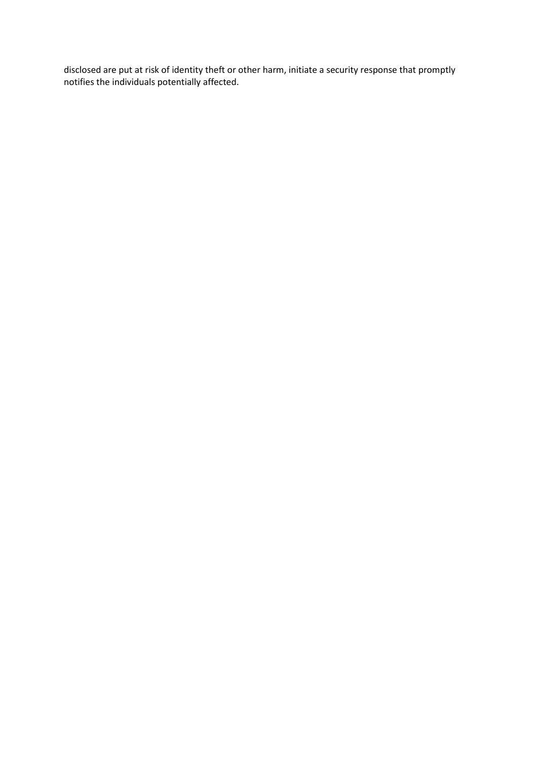disclosed are put at risk of identity theft or other harm, initiate a security response that promptly notifies the individuals potentially affected.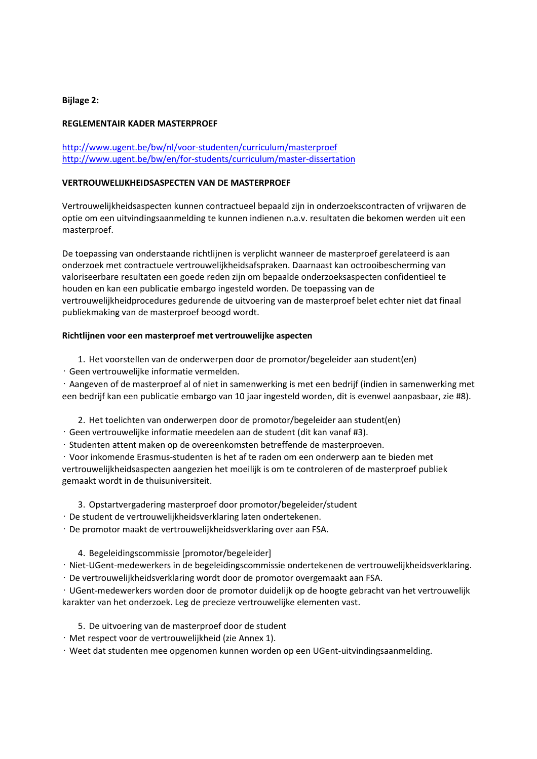#### **Bijlage 2:**

#### **REGLEMENTAIR KADER MASTERPROEF**

http://www.ugent.be/bw/nl/voor-studenten/curriculum/masterproef http://www.ugent.be/bw/en/for-students/curriculum/master-dissertation

#### **VERTROUWELIJKHEIDSASPECTEN VAN DE MASTERPROEF**

Vertrouwelijkheidsaspecten kunnen contractueel bepaald zijn in onderzoekscontracten of vrijwaren de optie om een uitvindingsaanmelding te kunnen indienen n.a.v. resultaten die bekomen werden uit een masterproef.

De toepassing van onderstaande richtlijnen is verplicht wanneer de masterproef gerelateerd is aan onderzoek met contractuele vertrouwelijkheidsafspraken. Daarnaast kan octrooibescherming van valoriseerbare resultaten een goede reden zijn om bepaalde onderzoeksaspecten confidentieel te houden en kan een publicatie embargo ingesteld worden. De toepassing van de vertrouwelijkheidprocedures gedurende de uitvoering van de masterproef belet echter niet dat finaal publiekmaking van de masterproef beoogd wordt.

#### **Richtlijnen voor een masterproef met vertrouwelijke aspecten**

- 1. Het voorstellen van de onderwerpen door de promotor/begeleider aan student(en)
- Geen vertrouwelijke informatie vermelden.

• Aangeven of de masterproef al of niet in samenwerking is met een bedrijf (indien in samenwerking met een bedrijf kan een publicatie embargo van 10 jaar ingesteld worden, dit is evenwel aanpasbaar, zie #8).

2. Het toelichten van onderwerpen door de promotor/begeleider aan student(en)

- Geen vertrouwelijke informatie meedelen aan de student (dit kan vanaf #3).
- Studenten attent maken op de overeenkomsten betreffende de masterproeven.

• Voor inkomende Erasmus-studenten is het af te raden om een onderwerp aan te bieden met vertrouwelijkheidsaspecten aangezien het moeilijk is om te controleren of de masterproef publiek gemaakt wordt in de thuisuniversiteit.

- 3. Opstartvergadering masterproef door promotor/begeleider/student
- De student de vertrouwelijkheidsverklaring laten ondertekenen.

• De promotor maakt de vertrouwelijkheidsverklaring over aan FSA.

4. Begeleidingscommissie [promotor/begeleider]

• Niet-UGent-medewerkers in de begeleidingscommissie ondertekenen de vertrouwelijkheidsverklaring.

• De vertrouwelijkheidsverklaring wordt door de promotor overgemaakt aan FSA.

• UGent-medewerkers worden door de promotor duidelijk op de hoogte gebracht van het vertrouwelijk karakter van het onderzoek. Leg de precieze vertrouwelijke elementen vast.

- 5. De uitvoering van de masterproef door de student
- Met respect voor de vertrouwelijkheid (zie Annex 1).

• Weet dat studenten mee opgenomen kunnen worden op een UGent-uitvindingsaanmelding.